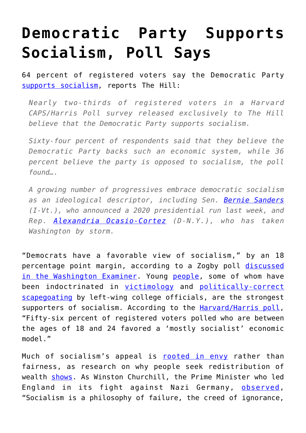## **[Democratic Party Supports](https://intellectualtakeout.org/2019/03/democratic-party-supports-socialism-poll-says/) [Socialism, Poll Says](https://intellectualtakeout.org/2019/03/democratic-party-supports-socialism-poll-says/)**

64 percent of registered voters say the Democratic Party [supports socialism,](https://t.co/siH37IKfCq) reports The Hill:

*Nearly two-thirds of registered voters in a Harvard CAPS/Harris Poll survey released exclusively to The Hill believe that the Democratic Party supports socialism.*

*Sixty-four percent of respondents said that they believe the Democratic Party backs such an economic system, while 36 percent believe the party is opposed to socialism, the poll found….*

*A growing number of progressives embrace democratic socialism as an ideological descriptor, including Sen. [Bernie Sanders](https://thehill.com/people/bernie-sanders) (I-Vt.), who announced a 2020 presidential run last week, and Rep. [Alexandria Ocasio-Cortez](https://thehill.com/people/alexandria-ocasio-cortez) (D-N.Y.), who has taken Washington by storm.*

"Democrats have a favorable view of socialism," by an 18 percentage point margin, according to a Zogby poll [discussed](https://www.washingtonexaminer.com/washington-secrets/poll-half-of-voters-reject-socialism-democrats-scared-of-label) [in the Washington Examiner.](https://www.washingtonexaminer.com/washington-secrets/poll-half-of-voters-reject-socialism-democrats-scared-of-label) Young [people,](https://twitter.com/wesyang/status/1101118880154611713) some of whom have been indoctrinated in [victimology](https://twitter.com/wesyang/status/1101119720827338752) and [politically-correct](https://libertyunyielding.com/2019/03/01/progressive-prejudices-depict-whites-as-lazy-and-violent/) [scapegoating](https://libertyunyielding.com/2019/03/01/progressive-prejudices-depict-whites-as-lazy-and-violent/) by left-wing college officials, are the strongest supporters of socialism. According to the [Harvard/Harris poll,](https://t.co/siH37IKfCq) "Fifty-six percent of registered voters polled who are between the ages of 18 and 24 favored a 'mostly socialist' economic model."

Much of socialism's appeal is [rooted in envy](https://fee.org/articles/how-believing-in-socialism-can-make-you-miserable/) rather than fairness, as research on why people seek redistribution of wealth [shows](https://www.pnas.org/content/114/31/8420). As Winston Churchill, the Prime Minister who led England in its fight against Nazi Germany, [observed,](https://www.brainyquote.com/quotes/winston_churchill_164131) "Socialism is a philosophy of failure, the creed of ignorance,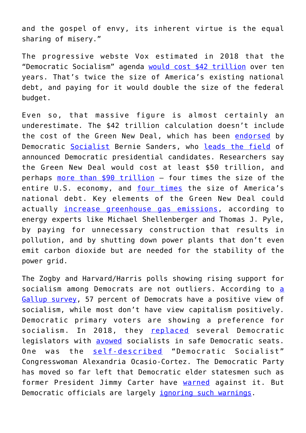and the gospel of envy, its inherent virtue is the equal sharing of misery."

The progressive webste Vox estimated in 2018 that the "Democratic Socialism" agenda [would cost \\$42 trillion](https://www.vox.com/the-big-idea/2018/8/7/17658574/democratic-socialism-cost-medicare-college-sanders-deficits-taxes) over ten years. That's twice the size of America's existing national debt, and paying for it would double the size of the federal budget.

Even so, that massive figure is almost certainly an underestimate. The \$42 trillion calculation doesn't include the cost of the Green New Deal, which has been [endorsed](https://libertyunyielding.com/2019/02/09/the-green-new-deal-is-actually-a-brown-new-deal/) by Democratic [Socialist](https://www.foxnews.com/politics/lifestyles-of-the-rich-and-socialist-bernie-sanders-has-3-houses-makes-millions) Bernie Sanders, who [leads the field](https://www.washingtonexaminer.com/news/new-hampshire-favors-bernie-sanders-in-democratic-primary-poll) of announced Democratic presidential candidates. Researchers say the Green New Deal would cost at least \$50 trillion, and perhaps [more than \\$90 trillion](https://libertyunyielding.com/2019/02/25/green-new-deal-could-cost-90-trillion-think-tank-says/) — four times the size of the entire U.S. economy, and [four times](https://libertyunyielding.com/2019/02/25/green-new-deal-could-cost-90-trillion-think-tank-says/) the size of America's national debt. Key elements of the Green New Deal could actually [increase greenhouse gas emissions](https://fee.org/articles/green-new-dealers-are-suspending-reality-with-policy-proposals/), according to energy experts like Michael Shellenberger and Thomas J. Pyle, by paying for unnecessary construction that results in pollution, and by shutting down power plants that don't even emit carbon dioxide but are needed for the stability of the power grid.

The Zogby and Harvard/Harris polls showing rising support for soci[a](https://libertyunyielding.com/2018/08/14/gallup-more-democrats-now-view-socialism-favorably-than-capitalism/)lism among Democrats are not outliers. According to a [Gallup survey](https://libertyunyielding.com/2018/08/14/gallup-more-democrats-now-view-socialism-favorably-than-capitalism/), 57 percent of Democrats have a positive view of socialism, while most don't have view capitalism positively. Democratic primary voters are showing a preference for socialism. In 2018, they [replaced](https://hotair.com/archives/2018/09/15/julia-salazar-highlights-post-truth-politics-left/) several Democratic legislators with [avowed](https://www.nytimes.com/2018/09/14/opinion/julia-salazar-socialism-democrats.html) socialists in safe Democratic seats. One was the [self-described](https://www.wsj.com/articles/socialists-are-no-strangers-to-congress-11546530927) "Democratic Socialist" Congresswoman Alexandria Ocasio-Cortez. The Democratic Party has moved so far left that Democratic elder statesmen such as former President Jimmy Carter have [warned](https://www.nbcnews.com/video/jimmy-carter-warns-democrats-against-leaning-too-left-ahead-of-midterms-1318626371533?v=railb&) against it. But Democratic officials are largely *ignoring such warnings*.